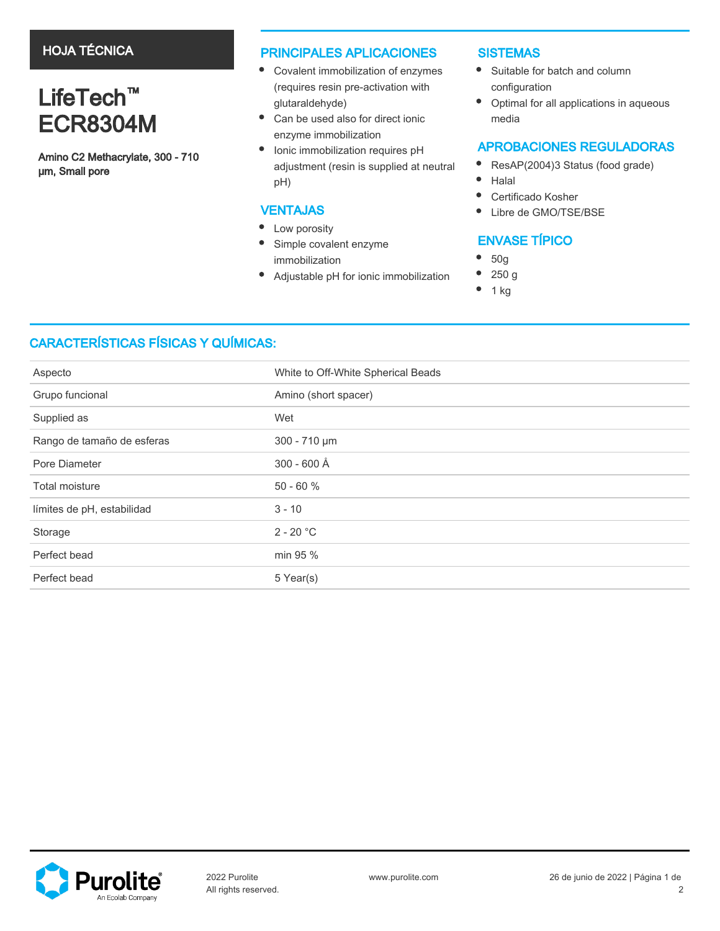## HOJA TÉCNICA

# LifeTech<sup>™</sup> ECR8304M

Amino C2 Methacrylate, 300 - 710 µm, Small pore

### PRINCIPALES APLICACIONES

- Covalent immobilization of enzymes (requires resin pre-activation with glutaraldehyde)
- $\bullet$ Can be used also for direct ionic enzyme immobilization
- Ionic immobilization requires pH adjustment (resin is supplied at neutral pH)

### VENTAJAS

- Low porosity
- $\bullet$ Simple covalent enzyme immobilization
- ٠ Adjustable pH for ionic immobilization

### **SISTEMAS**

- Suitable for batch and column configuration
- $\bullet$ Optimal for all applications in aqueous media

### APROBACIONES REGULADORAS

- ResAP(2004)3 Status (food grade)  $\bullet$
- $\bullet$ Halal
- $\bullet$ Certificado Kosher
- $\bullet$ Libre de GMO/TSE/BSE

# ENVASE TÍPICO

- $\bullet$ 50g
- 250 g
- 1 kg

# CARACTERÍSTICAS FÍSICAS Y QUÍMICAS:

| Aspecto                    | White to Off-White Spherical Beads |  |
|----------------------------|------------------------------------|--|
| Grupo funcional            | Amino (short spacer)               |  |
| Supplied as                | Wet                                |  |
| Rango de tamaño de esferas | 300 - 710 µm                       |  |
| Pore Diameter              | 300 - 600 Å                        |  |
| Total moisture             | $50 - 60 %$                        |  |
| límites de pH, estabilidad | $3 - 10$                           |  |
| Storage                    | $2 - 20 °C$                        |  |
| Perfect bead               | min 95 %                           |  |
| Perfect bead               | 5 Year(s)                          |  |